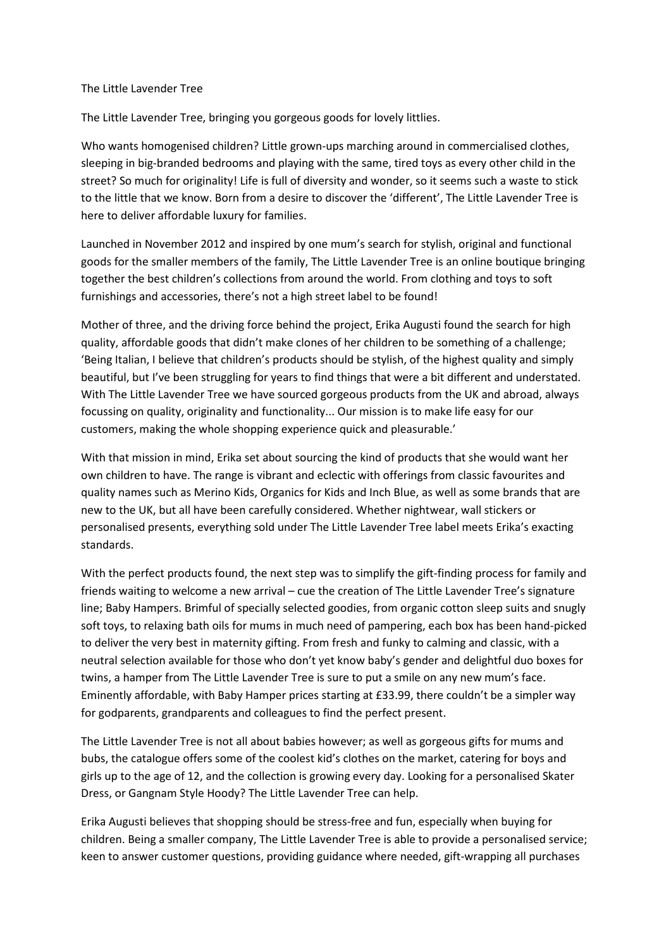## The Little Lavender Tree

The Little Lavender Tree, bringing you gorgeous goods for lovely littlies.

Who wants homogenised children? Little grown-ups marching around in commercialised clothes, sleeping in big-branded bedrooms and playing with the same, tired toys as every other child in the street? So much for originality! Life is full of diversity and wonder, so it seems such a waste to stick to the little that we know. Born from a desire to discover the 'different', The Little Lavender Tree is here to deliver affordable luxury for families.

Launched in November 2012 and inspired by one mum's search for stylish, original and functional goods for the smaller members of the family, The Little Lavender Tree is an online boutique bringing together the best children's collections from around the world. From clothing and toys to soft furnishings and accessories, there's not a high street label to be found!

Mother of three, and the driving force behind the project, Erika Augusti found the search for high quality, affordable goods that didn't make clones of her children to be something of a challenge; 'Being Italian, I believe that children's products should be stylish, of the highest quality and simply beautiful, but I've been struggling for years to find things that were a bit different and understated. With The Little Lavender Tree we have sourced gorgeous products from the UK and abroad, always focussing on quality, originality and functionality... Our mission is to make life easy for our customers, making the whole shopping experience quick and pleasurable.'

With that mission in mind, Erika set about sourcing the kind of products that she would want her own children to have. The range is vibrant and eclectic with offerings from classic favourites and quality names such as Merino Kids, Organics for Kids and Inch Blue, as well as some brands that are new to the UK, but all have been carefully considered. Whether nightwear, wall stickers or personalised presents, everything sold under The Little Lavender Tree label meets Erika's exacting standards.

With the perfect products found, the next step was to simplify the gift-finding process for family and friends waiting to welcome a new arrival – cue the creation of The Little Lavender Tree's signature line; Baby Hampers. Brimful of specially selected goodies, from organic cotton sleep suits and snugly soft toys, to relaxing bath oils for mums in much need of pampering, each box has been hand-picked to deliver the very best in maternity gifting. From fresh and funky to calming and classic, with a neutral selection available for those who don't yet know baby's gender and delightful duo boxes for twins, a hamper from The Little Lavender Tree is sure to put a smile on any new mum's face. Eminently affordable, with Baby Hamper prices starting at £33.99, there couldn't be a simpler way for godparents, grandparents and colleagues to find the perfect present.

The Little Lavender Tree is not all about babies however; as well as gorgeous gifts for mums and bubs, the catalogue offers some of the coolest kid's clothes on the market, catering for boys and girls up to the age of 12, and the collection is growing every day. Looking for a personalised Skater Dress, or Gangnam Style Hoody? The Little Lavender Tree can help.

Erika Augusti believes that shopping should be stress-free and fun, especially when buying for children. Being a smaller company, The Little Lavender Tree is able to provide a personalised service; keen to answer customer questions, providing guidance where needed, gift-wrapping all purchases